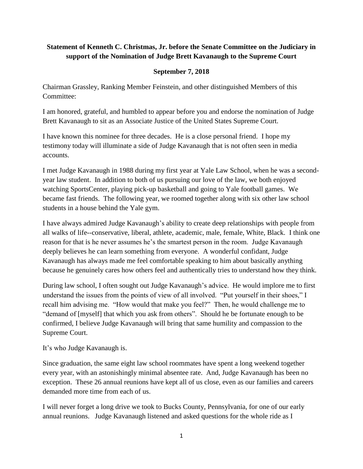## **Statement of Kenneth C. Christmas, Jr. before the Senate Committee on the Judiciary in support of the Nomination of Judge Brett Kavanaugh to the Supreme Court**

## **September 7, 2018**

Chairman Grassley, Ranking Member Feinstein, and other distinguished Members of this Committee:

I am honored, grateful, and humbled to appear before you and endorse the nomination of Judge Brett Kavanaugh to sit as an Associate Justice of the United States Supreme Court.

I have known this nominee for three decades. He is a close personal friend. I hope my testimony today will illuminate a side of Judge Kavanaugh that is not often seen in media accounts.

I met Judge Kavanaugh in 1988 during my first year at Yale Law School, when he was a secondyear law student. In addition to both of us pursuing our love of the law, we both enjoyed watching SportsCenter, playing pick-up basketball and going to Yale football games. We became fast friends. The following year, we roomed together along with six other law school students in a house behind the Yale gym.

I have always admired Judge Kavanaugh's ability to create deep relationships with people from all walks of life--conservative, liberal, athlete, academic, male, female, White, Black. I think one reason for that is he never assumes he's the smartest person in the room. Judge Kavanaugh deeply believes he can learn something from everyone. A wonderful confidant, Judge Kavanaugh has always made me feel comfortable speaking to him about basically anything because he genuinely cares how others feel and authentically tries to understand how they think.

During law school, I often sought out Judge Kavanaugh's advice. He would implore me to first understand the issues from the points of view of all involved. "Put yourself in their shoes," I recall him advising me. "How would that make you feel?" Then, he would challenge me to "demand of [myself] that which you ask from others". Should he be fortunate enough to be confirmed, I believe Judge Kavanaugh will bring that same humility and compassion to the Supreme Court.

It's who Judge Kavanaugh is.

Since graduation, the same eight law school roommates have spent a long weekend together every year, with an astonishingly minimal absentee rate. And, Judge Kavanaugh has been no exception. These 26 annual reunions have kept all of us close, even as our families and careers demanded more time from each of us.

I will never forget a long drive we took to Bucks County, Pennsylvania, for one of our early annual reunions. Judge Kavanaugh listened and asked questions for the whole ride as I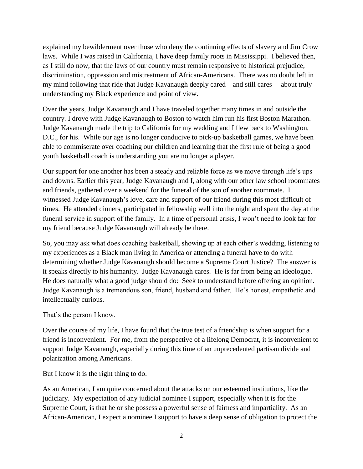explained my bewilderment over those who deny the continuing effects of slavery and Jim Crow laws. While I was raised in California, I have deep family roots in Mississippi. I believed then, as I still do now, that the laws of our country must remain responsive to historical prejudice, discrimination, oppression and mistreatment of African-Americans. There was no doubt left in my mind following that ride that Judge Kavanaugh deeply cared—and still cares— about truly understanding my Black experience and point of view.

Over the years, Judge Kavanaugh and I have traveled together many times in and outside the country. I drove with Judge Kavanaugh to Boston to watch him run his first Boston Marathon. Judge Kavanaugh made the trip to California for my wedding and I flew back to Washington, D.C., for his. While our age is no longer conducive to pick-up basketball games, we have been able to commiserate over coaching our children and learning that the first rule of being a good youth basketball coach is understanding you are no longer a player.

Our support for one another has been a steady and reliable force as we move through life's ups and downs. Earlier this year, Judge Kavanaugh and I, along with our other law school roommates and friends, gathered over a weekend for the funeral of the son of another roommate. I witnessed Judge Kavanaugh's love, care and support of our friend during this most difficult of times. He attended dinners, participated in fellowship well into the night and spent the day at the funeral service in support of the family. In a time of personal crisis, I won't need to look far for my friend because Judge Kavanaugh will already be there.

So, you may ask what does coaching basketball, showing up at each other's wedding, listening to my experiences as a Black man living in America or attending a funeral have to do with determining whether Judge Kavanaugh should become a Supreme Court Justice? The answer is it speaks directly to his humanity. Judge Kavanaugh cares. He is far from being an ideologue. He does naturally what a good judge should do: Seek to understand before offering an opinion. Judge Kavanaugh is a tremendous son, friend, husband and father. He's honest, empathetic and intellectually curious.

That's the person I know.

Over the course of my life, I have found that the true test of a friendship is when support for a friend is inconvenient. For me, from the perspective of a lifelong Democrat, it is inconvenient to support Judge Kavanaugh, especially during this time of an unprecedented partisan divide and polarization among Americans.

But I know it is the right thing to do.

As an American, I am quite concerned about the attacks on our esteemed institutions, like the judiciary. My expectation of any judicial nominee I support, especially when it is for the Supreme Court, is that he or she possess a powerful sense of fairness and impartiality. As an African-American, I expect a nominee I support to have a deep sense of obligation to protect the